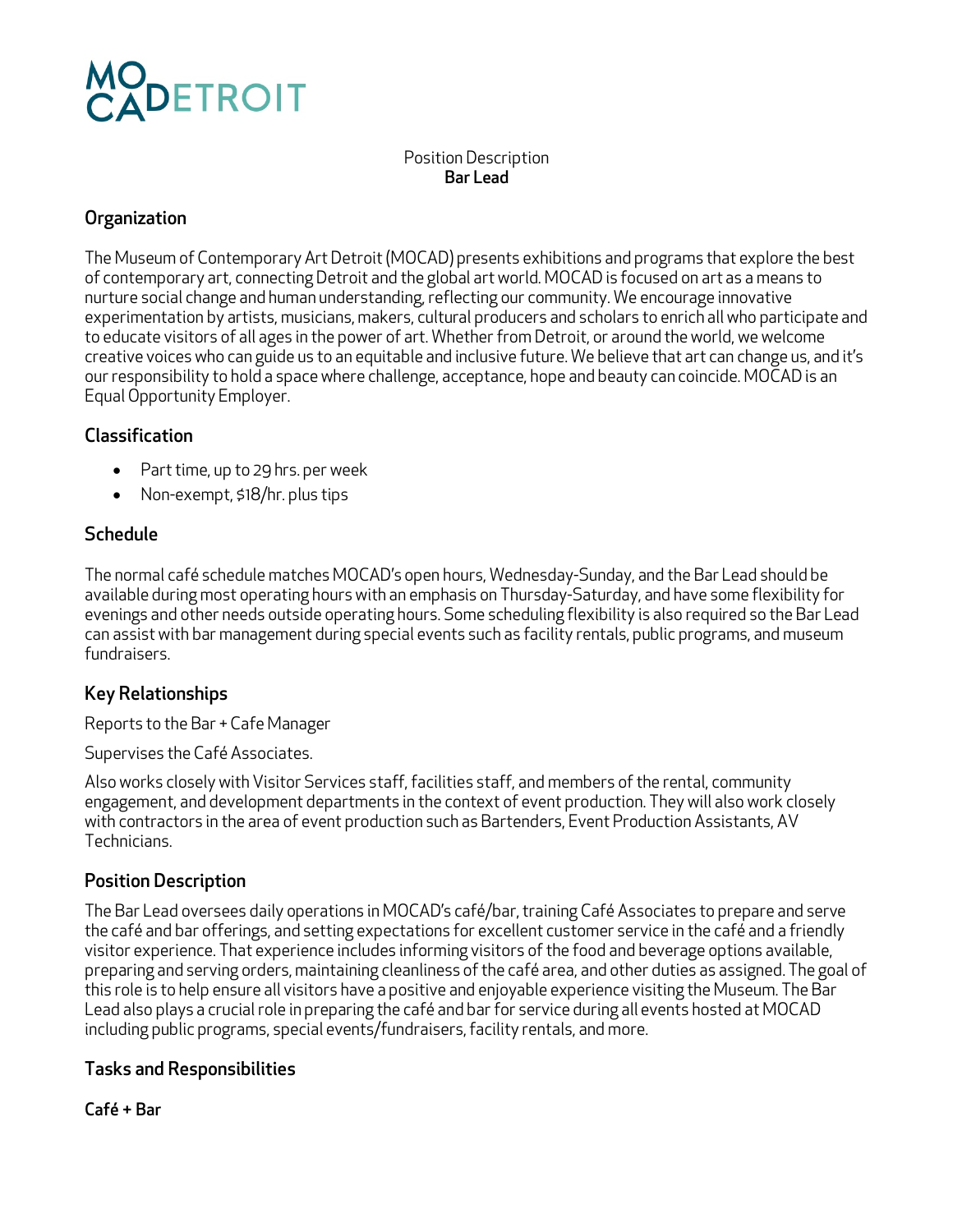# DETROIT

Position Description Bar Lead

### **Organization**

The Museum of Contemporary Art Detroit (MOCAD) presents exhibitions and programs that explore the best of contemporary art, connecting Detroit and the global art world. MOCAD is focused on art as a means to nurture social change and human understanding, reflecting our community. We encourage innovative experimentation by artists, musicians, makers, cultural producers and scholars to enrich all who participate and to educate visitors of all ages in the power of art. Whether from Detroit, or around the world, we welcome creative voices who can guide us to an equitable and inclusive future. We believe that art can change us, and it's our responsibility to hold a space where challenge, acceptance, hope and beauty can coincide. MOCAD is an Equal Opportunity Employer.

## Classification

- Part time, up to 29 hrs. per week
- Non-exempt, \$18/hr. plus tips

## Schedule

The normal café schedule matches MOCAD's open hours, Wednesday-Sunday, and the Bar Lead should be available during most operating hours with an emphasis on Thursday-Saturday, and have some flexibility for evenings and other needs outside operating hours. Some scheduling flexibility is also required so the Bar Lead can assist with bar management during special events such as facility rentals, public programs, and museum fundraisers.

## Key Relationships

Reports to the Bar + Cafe Manager

Supervises the Café Associates.

Also works closely with Visitor Services staff, facilities staff, and members of the rental, community engagement, and development departments in the context of event production. They will also work closely with contractors in the area of event production such as Bartenders, Event Production Assistants, AV Technicians.

#### Position Description

The Bar Lead oversees daily operations in MOCAD's café/bar, training Café Associates to prepare and serve the café and bar offerings, and setting expectations for excellent customer service in the café and a friendly visitor experience. That experience includes informing visitors of the food and beverage options available, preparing and serving orders, maintaining cleanliness of the café area, and other duties as assigned. The goal of this role is to help ensure all visitors have a positive and enjoyable experience visiting the Museum. The Bar Lead also plays a crucial role in preparing the café and bar for service during all events hosted at MOCAD including public programs, special events/fundraisers, facility rentals, and more.

#### Tasks and Responsibilities

Café + Bar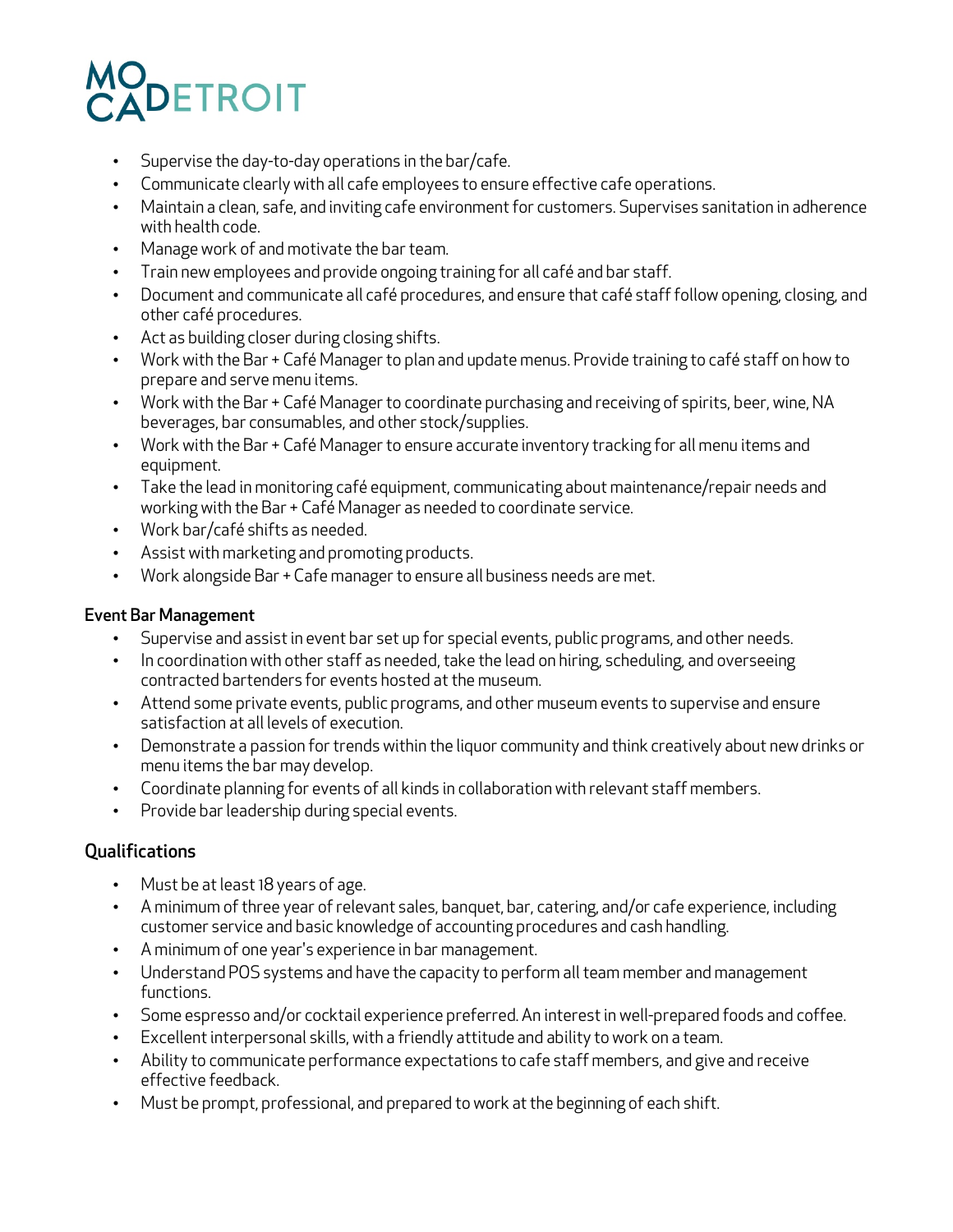## **DETROIT**

- Supervise the day-to-day operations in the bar/cafe.
- Communicate clearly with all cafe employees to ensure effective cafe operations.
- Maintain a clean, safe, and inviting cafe environment for customers. Supervises sanitation in adherence with health code.
- Manage work of and motivate the bar team.
- Train new employees and provide ongoing training for all café and bar staff.
- Document and communicate all café procedures, and ensure that café staff follow opening, closing, and other café procedures.
- Act as building closer during closing shifts.
- Work with the Bar + Café Manager to plan and update menus. Provide training to café staff on how to prepare and serve menu items.
- Work with the Bar + Café Manager to coordinate purchasing and receiving of spirits, beer, wine, NA beverages, bar consumables, and other stock/supplies.
- Work with the Bar + Café Manager to ensure accurate inventory tracking for all menu items and equipment.
- Take the lead in monitoring café equipment, communicating about maintenance/repair needs and working with the Bar + Café Manager as needed to coordinate service.
- Work bar/café shifts as needed.
- Assist with marketing and promoting products.
- Work alongside Bar + Cafe manager to ensure all business needs are met.

#### Event Bar Management

- Supervise and assist in event bar set up for special events, public programs, and other needs.
- In coordination with other staff as needed, take the lead on hiring, scheduling, and overseeing contracted bartenders for events hosted at the museum.
- Attend some private events, public programs, and other museum events to supervise and ensure satisfaction at all levels of execution.
- Demonstrate a passion for trends within the liquor community and think creatively about new drinks or menu items the bar may develop.
- Coordinate planning for events of all kinds in collaboration with relevant staff members.
- Provide bar leadership during special events.

#### Qualifications

- Must be at least 18 years of age.
- A minimum of three year of relevant sales, banquet, bar, catering, and/or cafe experience, including customer service and basic knowledge of accounting procedures and cash handling.
- A minimum of one year's experience in bar management.
- Understand POS systems and have the capacity to perform all team member and management functions.
- Some espresso and/or cocktail experience preferred. An interest in well-prepared foods and coffee.
- Excellent interpersonal skills, with a friendly attitude and ability to work on a team.
- Ability to communicate performance expectations to cafe staff members, and give and receive effective feedback.
- Must be prompt, professional, and prepared to work at the beginning of each shift.